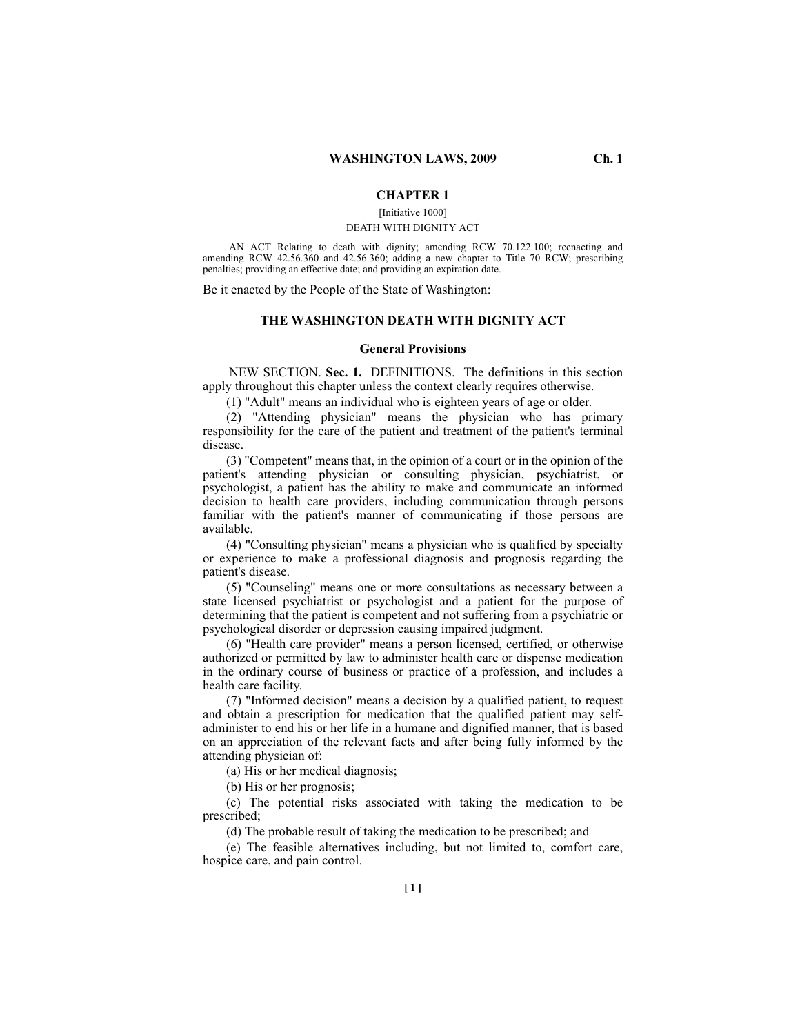# **CHAPTER 1**

#### [Initiative 1000] DEATH WITH DIGNITY ACT

AN ACT Relating to death with dignity; amending RCW 70.122.100; reenacting and amending RCW 42.56.360 and 42.56.360; adding a new chapter to Title 70 RCW; prescribing penalties; providing an effective date; and providing an expiration date.

Be it enacted by the People of the State of Washington:

## **THE WASHINGTON DEATH WITH DIGNITY ACT**

#### **General Provisions**

NEW SECTION. **Sec. 1.** DEFINITIONS. The definitions in this section apply throughout this chapter unless the context clearly requires otherwise.

(1) "Adult" means an individual who is eighteen years of age or older.

(2) "Attending physician" means the physician who has primary responsibility for the care of the patient and treatment of the patient's terminal disease.

(3) "Competent" means that, in the opinion of a court or in the opinion of the patient's attending physician or consulting physician, psychiatrist, or psychologist, a patient has the ability to make and communicate an informed decision to health care providers, including communication through persons familiar with the patient's manner of communicating if those persons are available.

(4) "Consulting physician" means a physician who is qualified by specialty or experience to make a professional diagnosis and prognosis regarding the patient's disease.

(5) "Counseling" means one or more consultations as necessary between a state licensed psychiatrist or psychologist and a patient for the purpose of determining that the patient is competent and not suffering from a psychiatric or psychological disorder or depression causing impaired judgment.

(6) "Health care provider" means a person licensed, certified, or otherwise authorized or permitted by law to administer health care or dispense medication in the ordinary course of business or practice of a profession, and includes a health care facility.

(7) "Informed decision" means a decision by a qualified patient, to request and obtain a prescription for medication that the qualified patient may selfadminister to end his or her life in a humane and dignified manner, that is based on an appreciation of the relevant facts and after being fully informed by the attending physician of:

(a) His or her medical diagnosis;

(b) His or her prognosis;

(c) The potential risks associated with taking the medication to be prescribed;

(d) The probable result of taking the medication to be prescribed; and

(e) The feasible alternatives including, but not limited to, comfort care, hospice care, and pain control.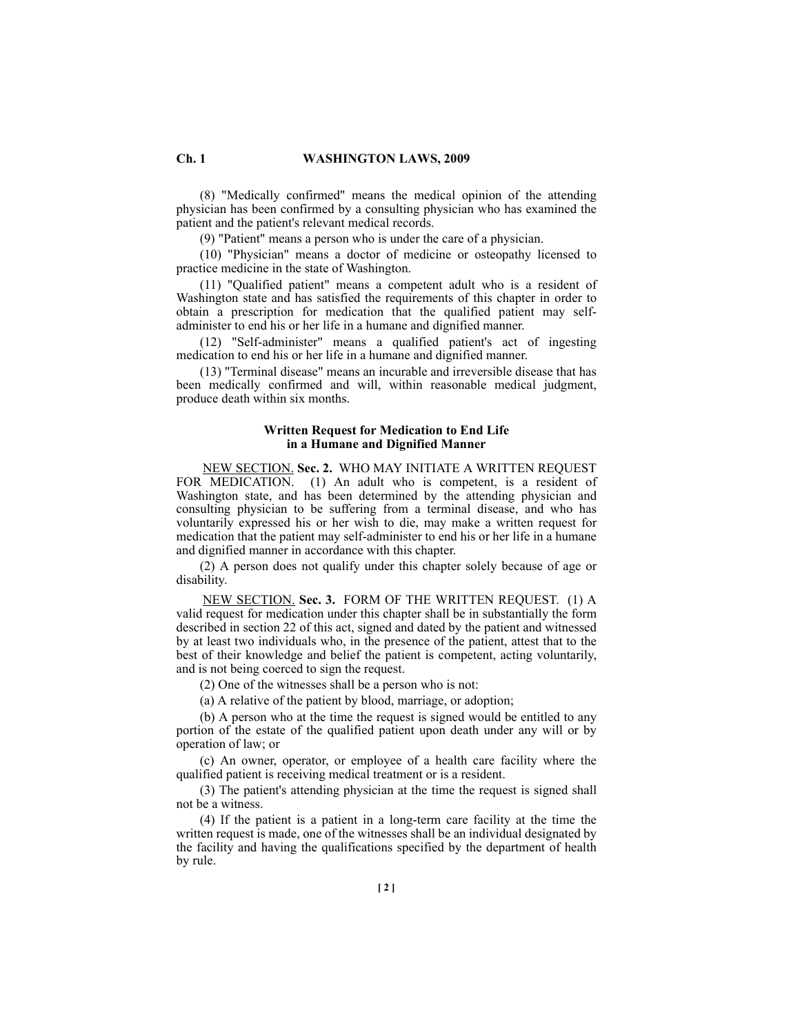(8) "Medically confirmed" means the medical opinion of the attending physician has been confirmed by a consulting physician who has examined the patient and the patient's relevant medical records.

(9) "Patient" means a person who is under the care of a physician.

(10) "Physician" means a doctor of medicine or osteopathy licensed to practice medicine in the state of Washington.

(11) "Qualified patient" means a competent adult who is a resident of Washington state and has satisfied the requirements of this chapter in order to obtain a prescription for medication that the qualified patient may selfadminister to end his or her life in a humane and dignified manner.

(12) "Self-administer" means a qualified patient's act of ingesting medication to end his or her life in a humane and dignified manner.

(13) "Terminal disease" means an incurable and irreversible disease that has been medically confirmed and will, within reasonable medical judgment, produce death within six months.

## **Written Request for Medication to End Life in a Humane and Dignified Manner**

NEW SECTION. **Sec. 2.** WHO MAY INITIATE A WRITTEN REQUEST FOR MEDICATION. (1) An adult who is competent, is a resident of Washington state, and has been determined by the attending physician and consulting physician to be suffering from a terminal disease, and who has voluntarily expressed his or her wish to die, may make a written request for medication that the patient may self-administer to end his or her life in a humane and dignified manner in accordance with this chapter.

(2) A person does not qualify under this chapter solely because of age or disability.

NEW SECTION. **Sec. 3.** FORM OF THE WRITTEN REQUEST. (1) A valid request for medication under this chapter shall be in substantially the form described in section 22 of this act, signed and dated by the patient and witnessed by at least two individuals who, in the presence of the patient, attest that to the best of their knowledge and belief the patient is competent, acting voluntarily, and is not being coerced to sign the request.

(2) One of the witnesses shall be a person who is not:

(a) A relative of the patient by blood, marriage, or adoption;

(b) A person who at the time the request is signed would be entitled to any portion of the estate of the qualified patient upon death under any will or by operation of law; or

(c) An owner, operator, or employee of a health care facility where the qualified patient is receiving medical treatment or is a resident.

(3) The patient's attending physician at the time the request is signed shall not be a witness.

(4) If the patient is a patient in a long-term care facility at the time the written request is made, one of the witnesses shall be an individual designated by the facility and having the qualifications specified by the department of health by rule.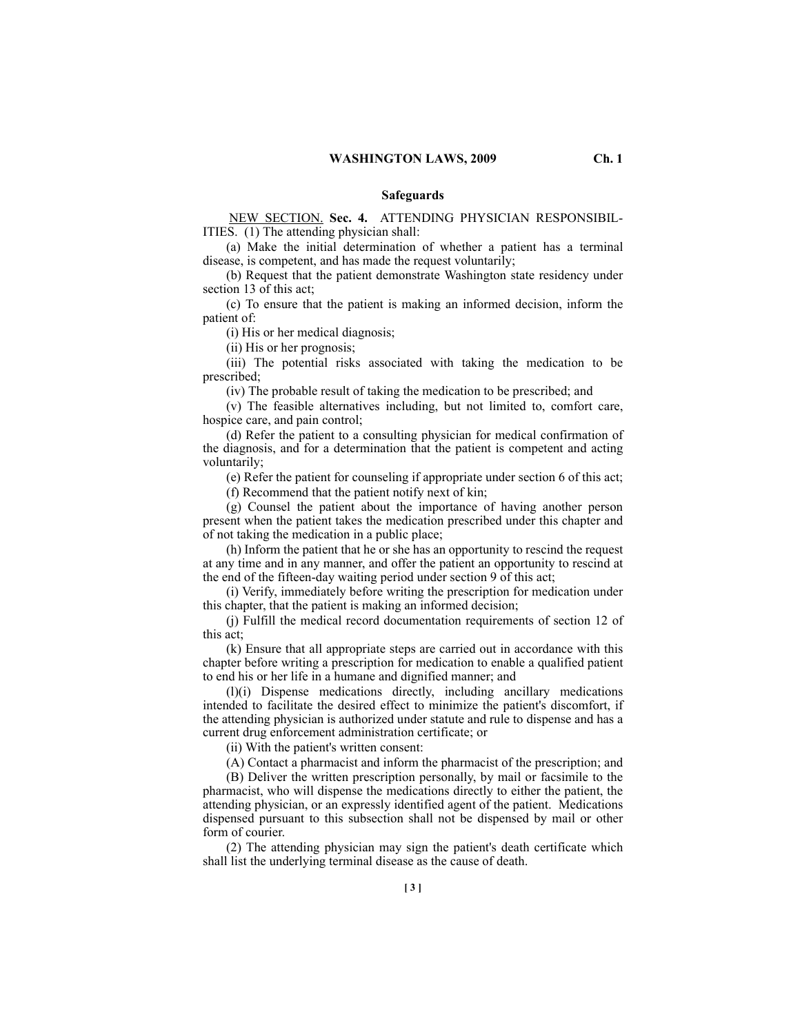## **Safeguards**

NEW SECTION. **Sec. 4.** ATTENDING PHYSICIAN RESPONSIBIL-ITIES. (1) The attending physician shall:

(a) Make the initial determination of whether a patient has a terminal disease, is competent, and has made the request voluntarily;

(b) Request that the patient demonstrate Washington state residency under section 13 of this act;

(c) To ensure that the patient is making an informed decision, inform the patient of:

(i) His or her medical diagnosis;

(ii) His or her prognosis;

(iii) The potential risks associated with taking the medication to be prescribed;

(iv) The probable result of taking the medication to be prescribed; and

(v) The feasible alternatives including, but not limited to, comfort care, hospice care, and pain control;

(d) Refer the patient to a consulting physician for medical confirmation of the diagnosis, and for a determination that the patient is competent and acting voluntarily;

(e) Refer the patient for counseling if appropriate under section 6 of this act;

(f) Recommend that the patient notify next of kin;

(g) Counsel the patient about the importance of having another person present when the patient takes the medication prescribed under this chapter and of not taking the medication in a public place;

(h) Inform the patient that he or she has an opportunity to rescind the request at any time and in any manner, and offer the patient an opportunity to rescind at the end of the fifteen-day waiting period under section 9 of this act;

(i) Verify, immediately before writing the prescription for medication under this chapter, that the patient is making an informed decision;

(j) Fulfill the medical record documentation requirements of section 12 of this act;

(k) Ensure that all appropriate steps are carried out in accordance with this chapter before writing a prescription for medication to enable a qualified patient to end his or her life in a humane and dignified manner; and

(l)(i) Dispense medications directly, including ancillary medications intended to facilitate the desired effect to minimize the patient's discomfort, if the attending physician is authorized under statute and rule to dispense and has a current drug enforcement administration certificate; or

(ii) With the patient's written consent:

(A) Contact a pharmacist and inform the pharmacist of the prescription; and

(B) Deliver the written prescription personally, by mail or facsimile to the pharmacist, who will dispense the medications directly to either the patient, the attending physician, or an expressly identified agent of the patient. Medications dispensed pursuant to this subsection shall not be dispensed by mail or other form of courier.

(2) The attending physician may sign the patient's death certificate which shall list the underlying terminal disease as the cause of death.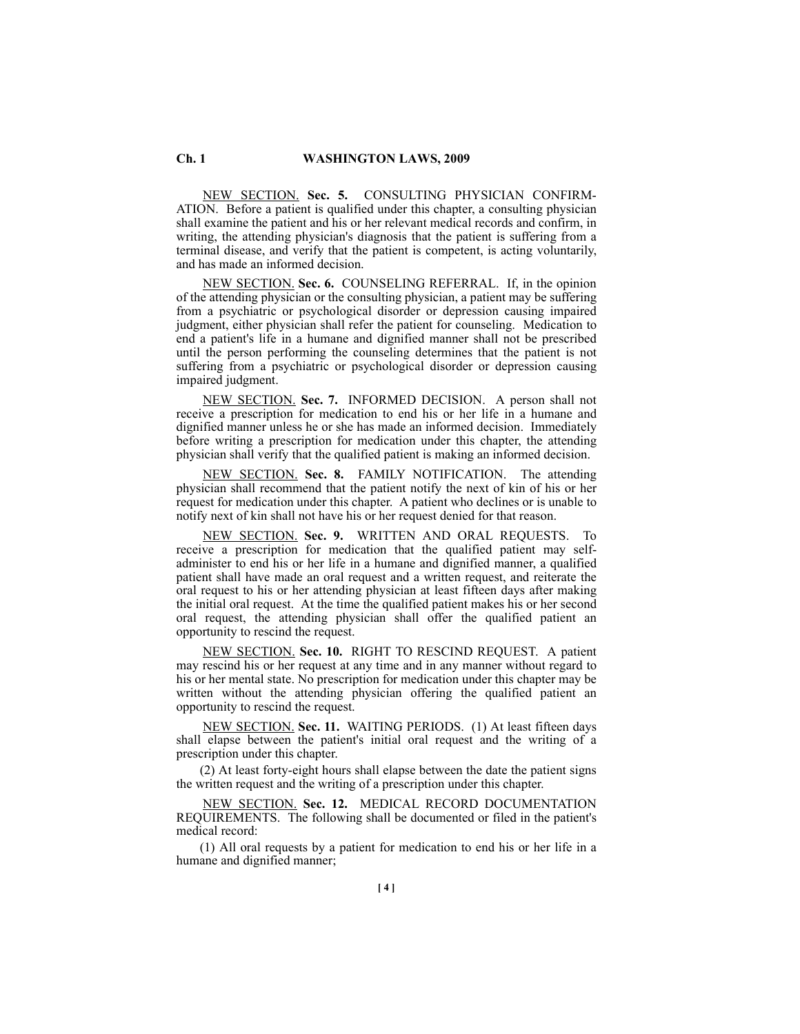NEW SECTION. **Sec. 5.** CONSULTING PHYSICIAN CONFIRM-ATION. Before a patient is qualified under this chapter, a consulting physician shall examine the patient and his or her relevant medical records and confirm, in writing, the attending physician's diagnosis that the patient is suffering from a terminal disease, and verify that the patient is competent, is acting voluntarily, and has made an informed decision.

NEW SECTION. **Sec. 6.** COUNSELING REFERRAL. If, in the opinion of the attending physician or the consulting physician, a patient may be suffering from a psychiatric or psychological disorder or depression causing impaired judgment, either physician shall refer the patient for counseling. Medication to end a patient's life in a humane and dignified manner shall not be prescribed until the person performing the counseling determines that the patient is not suffering from a psychiatric or psychological disorder or depression causing impaired judgment.

NEW SECTION. **Sec. 7.** INFORMED DECISION. A person shall not receive a prescription for medication to end his or her life in a humane and dignified manner unless he or she has made an informed decision. Immediately before writing a prescription for medication under this chapter, the attending physician shall verify that the qualified patient is making an informed decision.

NEW SECTION. **Sec. 8.** FAMILY NOTIFICATION. The attending physician shall recommend that the patient notify the next of kin of his or her request for medication under this chapter. A patient who declines or is unable to notify next of kin shall not have his or her request denied for that reason.

NEW SECTION. **Sec. 9.** WRITTEN AND ORAL REQUESTS. To receive a prescription for medication that the qualified patient may selfadminister to end his or her life in a humane and dignified manner, a qualified patient shall have made an oral request and a written request, and reiterate the oral request to his or her attending physician at least fifteen days after making the initial oral request. At the time the qualified patient makes his or her second oral request, the attending physician shall offer the qualified patient an opportunity to rescind the request.

NEW SECTION. **Sec. 10.** RIGHT TO RESCIND REQUEST. A patient may rescind his or her request at any time and in any manner without regard to his or her mental state. No prescription for medication under this chapter may be written without the attending physician offering the qualified patient an opportunity to rescind the request.

NEW SECTION. **Sec. 11.** WAITING PERIODS. (1) At least fifteen days shall elapse between the patient's initial oral request and the writing of a prescription under this chapter.

(2) At least forty-eight hours shall elapse between the date the patient signs the written request and the writing of a prescription under this chapter.

NEW SECTION. **Sec. 12.** MEDICAL RECORD DOCUMENTATION REQUIREMENTS. The following shall be documented or filed in the patient's medical record:

(1) All oral requests by a patient for medication to end his or her life in a humane and dignified manner;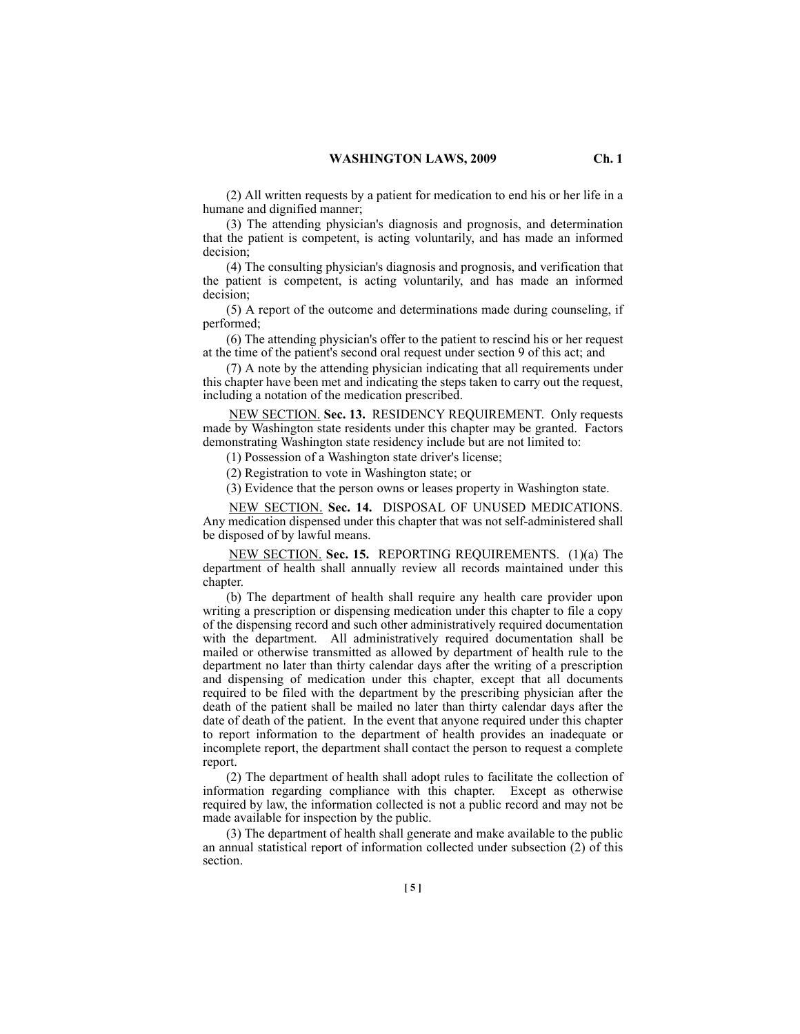(2) All written requests by a patient for medication to end his or her life in a humane and dignified manner;

(3) The attending physician's diagnosis and prognosis, and determination that the patient is competent, is acting voluntarily, and has made an informed decision;

(4) The consulting physician's diagnosis and prognosis, and verification that the patient is competent, is acting voluntarily, and has made an informed decision;

(5) A report of the outcome and determinations made during counseling, if performed;

(6) The attending physician's offer to the patient to rescind his or her request at the time of the patient's second oral request under section 9 of this act; and

(7) A note by the attending physician indicating that all requirements under this chapter have been met and indicating the steps taken to carry out the request, including a notation of the medication prescribed.

NEW SECTION. **Sec. 13.** RESIDENCY REQUIREMENT. Only requests made by Washington state residents under this chapter may be granted. Factors demonstrating Washington state residency include but are not limited to:

(1) Possession of a Washington state driver's license;

(2) Registration to vote in Washington state; or

(3) Evidence that the person owns or leases property in Washington state.

NEW SECTION. **Sec. 14.** DISPOSAL OF UNUSED MEDICATIONS. Any medication dispensed under this chapter that was not self-administered shall be disposed of by lawful means.

NEW SECTION. **Sec. 15.** REPORTING REQUIREMENTS. (1)(a) The department of health shall annually review all records maintained under this chapter.

(b) The department of health shall require any health care provider upon writing a prescription or dispensing medication under this chapter to file a copy of the dispensing record and such other administratively required documentation with the department. All administratively required documentation shall be mailed or otherwise transmitted as allowed by department of health rule to the department no later than thirty calendar days after the writing of a prescription and dispensing of medication under this chapter, except that all documents required to be filed with the department by the prescribing physician after the death of the patient shall be mailed no later than thirty calendar days after the date of death of the patient. In the event that anyone required under this chapter to report information to the department of health provides an inadequate or incomplete report, the department shall contact the person to request a complete report.

(2) The department of health shall adopt rules to facilitate the collection of information regarding compliance with this chapter. Except as otherwise required by law, the information collected is not a public record and may not be made available for inspection by the public.

(3) The department of health shall generate and make available to the public an annual statistical report of information collected under subsection (2) of this section.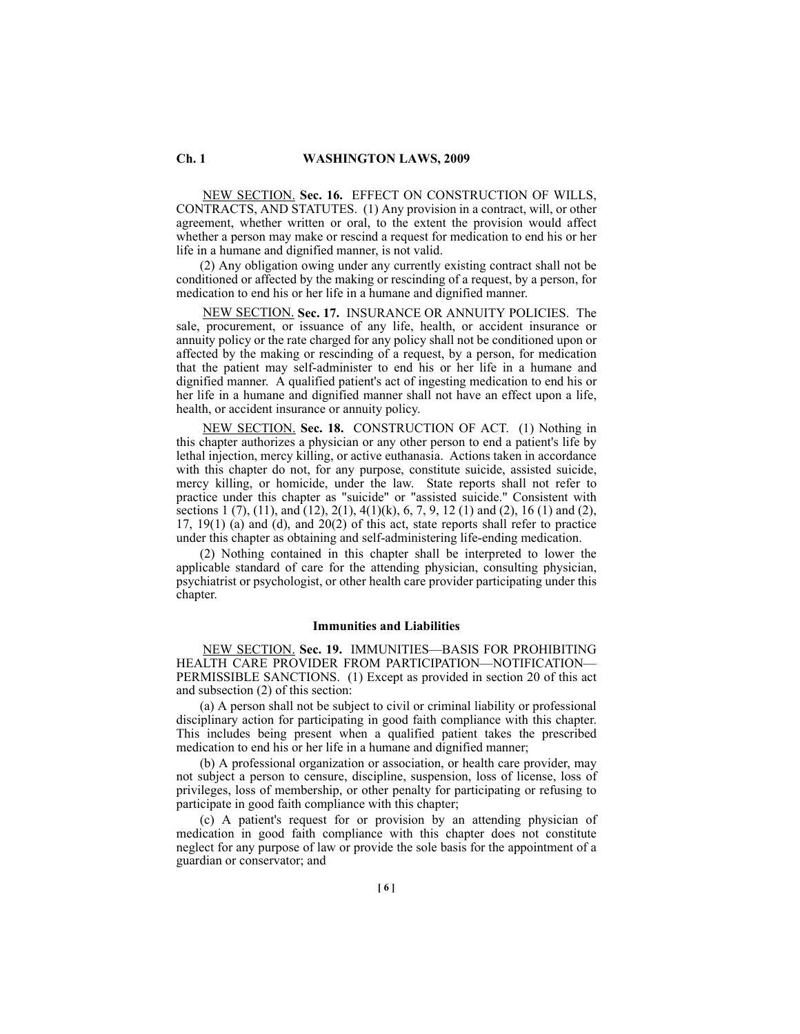NEW SECTION. **Sec. 16.** EFFECT ON CONSTRUCTION OF WILLS, CONTRACTS, AND STATUTES. (1) Any provision in a contract, will, or other agreement, whether written or oral, to the extent the provision would affect whether a person may make or rescind a request for medication to end his or her life in a humane and dignified manner, is not valid.

(2) Any obligation owing under any currently existing contract shall not be conditioned or affected by the making or rescinding of a request, by a person, for medication to end his or her life in a humane and dignified manner.

NEW SECTION. **Sec. 17.** INSURANCE OR ANNUITY POLICIES. The sale, procurement, or issuance of any life, health, or accident insurance or annuity policy or the rate charged for any policy shall not be conditioned upon or affected by the making or rescinding of a request, by a person, for medication that the patient may self-administer to end his or her life in a humane and dignified manner. A qualified patient's act of ingesting medication to end his or her life in a humane and dignified manner shall not have an effect upon a life, health, or accident insurance or annuity policy.

NEW SECTION. **Sec. 18.** CONSTRUCTION OF ACT. (1) Nothing in this chapter authorizes a physician or any other person to end a patient's life by lethal injection, mercy killing, or active euthanasia. Actions taken in accordance with this chapter do not, for any purpose, constitute suicide, assisted suicide, mercy killing, or homicide, under the law. State reports shall not refer to practice under this chapter as "suicide" or "assisted suicide." Consistent with sections 1 (7), (11), and (12), 2(1), 4(1)(k), 6, 7, 9, 12 (1) and (2), 16 (1) and (2),  $17, 19(1)$  (a) and (d), and  $20(2)$  of this act, state reports shall refer to practice under this chapter as obtaining and self-administering life-ending medication.

(2) Nothing contained in this chapter shall be interpreted to lower the applicable standard of care for the attending physician, consulting physician, psychiatrist or psychologist, or other health care provider participating under this chapter.

### **Immunities and Liabilities**

NEW SECTION. Sec. 19. IMMUNITIES-BASIS FOR PROHIBITING HEALTH CARE PROVIDER FROM PARTICIPATION-NOTIFICATION-PERMISSIBLE SANCTIONS. (1) Except as provided in section 20 of this act and subsection (2) of this section:

(a) A person shall not be subject to civil or criminal liability or professional disciplinary action for participating in good faith compliance with this chapter. This includes being present when a qualified patient takes the prescribed medication to end his or her life in a humane and dignified manner;

(b) A professional organization or association, or health care provider, may not subject a person to censure, discipline, suspension, loss of license, loss of privileges, loss of membership, or other penalty for participating or refusing to participate in good faith compliance with this chapter;

(c) A patient's request for or provision by an attending physician of medication in good faith compliance with this chapter does not constitute neglect for any purpose of law or provide the sole basis for the appointment of a guardian or conservator; and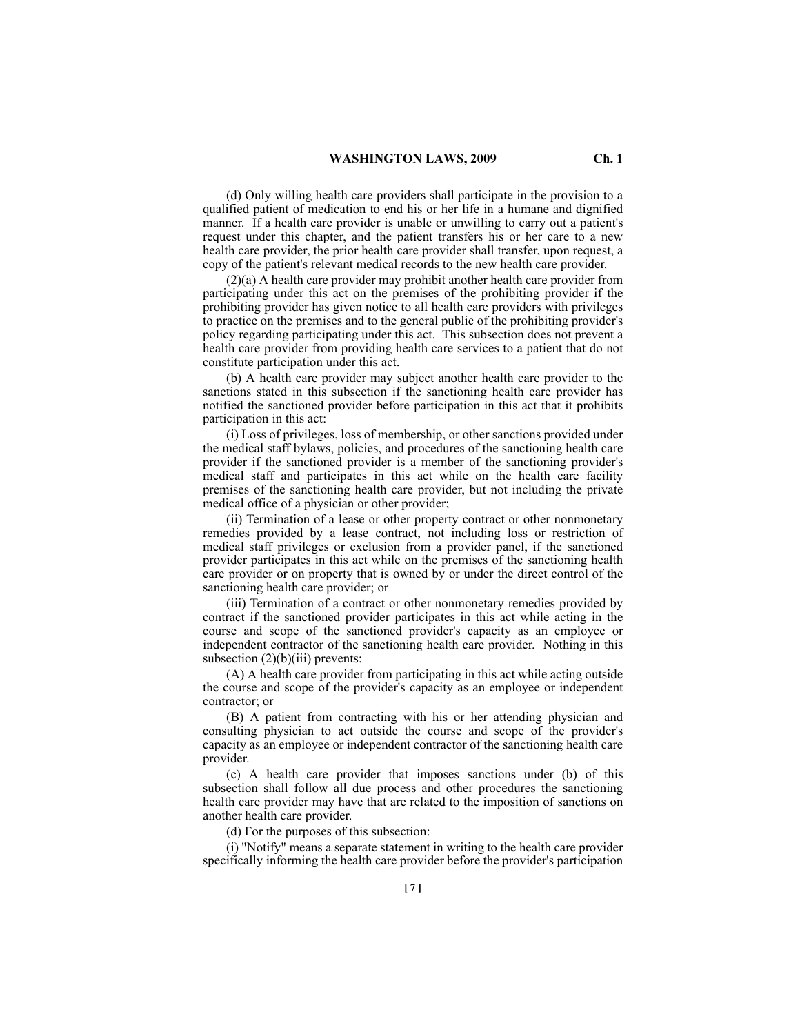(d) Only willing health care providers shall participate in the provision to a qualified patient of medication to end his or her life in a humane and dignified manner. If a health care provider is unable or unwilling to carry out a patient's request under this chapter, and the patient transfers his or her care to a new health care provider, the prior health care provider shall transfer, upon request, a copy of the patient's relevant medical records to the new health care provider.

(2)(a) A health care provider may prohibit another health care provider from participating under this act on the premises of the prohibiting provider if the prohibiting provider has given notice to all health care providers with privileges to practice on the premises and to the general public of the prohibiting provider's policy regarding participating under this act. This subsection does not prevent a health care provider from providing health care services to a patient that do not constitute participation under this act.

(b) A health care provider may subject another health care provider to the sanctions stated in this subsection if the sanctioning health care provider has notified the sanctioned provider before participation in this act that it prohibits participation in this act:

(i) Loss of privileges, loss of membership, or other sanctions provided under the medical staff bylaws, policies, and procedures of the sanctioning health care provider if the sanctioned provider is a member of the sanctioning provider's medical staff and participates in this act while on the health care facility premises of the sanctioning health care provider, but not including the private medical office of a physician or other provider;

(ii) Termination of a lease or other property contract or other nonmonetary remedies provided by a lease contract, not including loss or restriction of medical staff privileges or exclusion from a provider panel, if the sanctioned provider participates in this act while on the premises of the sanctioning health care provider or on property that is owned by or under the direct control of the sanctioning health care provider; or

(iii) Termination of a contract or other nonmonetary remedies provided by contract if the sanctioned provider participates in this act while acting in the course and scope of the sanctioned provider's capacity as an employee or independent contractor of the sanctioning health care provider. Nothing in this subsection  $(2)(b)(iii)$  prevents:

(A) A health care provider from participating in this act while acting outside the course and scope of the provider's capacity as an employee or independent contractor; or

(B) A patient from contracting with his or her attending physician and consulting physician to act outside the course and scope of the provider's capacity as an employee or independent contractor of the sanctioning health care provider.

(c) A health care provider that imposes sanctions under (b) of this subsection shall follow all due process and other procedures the sanctioning health care provider may have that are related to the imposition of sanctions on another health care provider.

(d) For the purposes of this subsection:

(i) "Notify" means a separate statement in writing to the health care provider specifically informing the health care provider before the provider's participation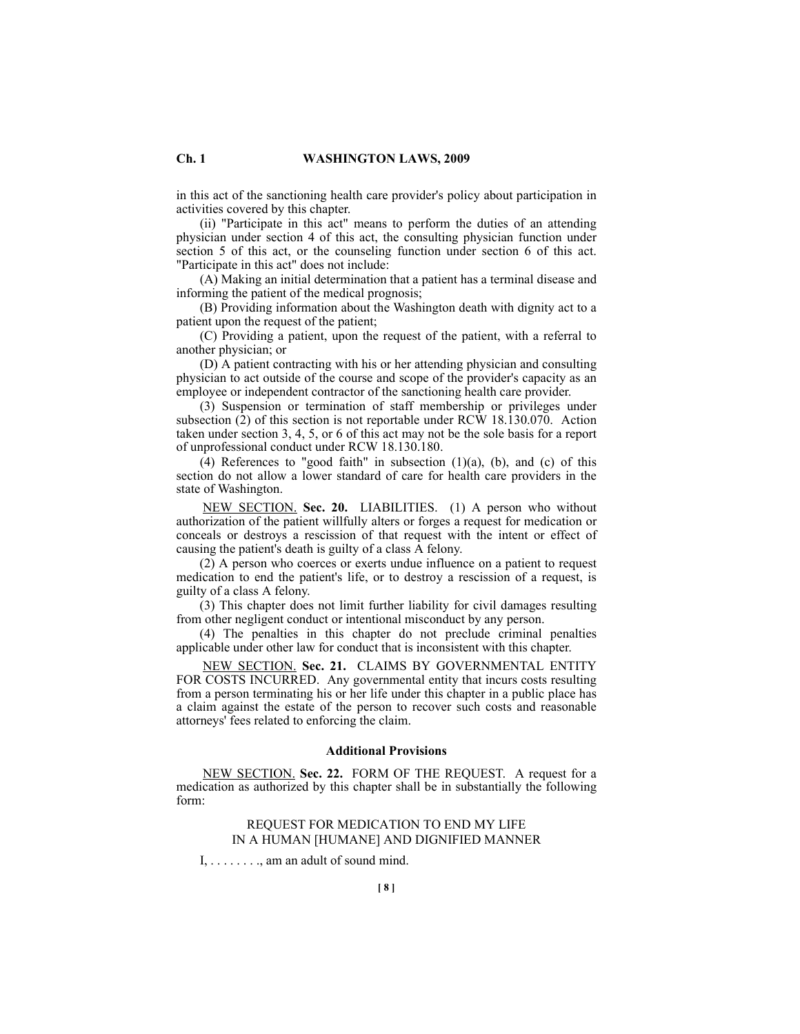in this act of the sanctioning health care provider's policy about participation in activities covered by this chapter.

(ii) "Participate in this act" means to perform the duties of an attending physician under section 4 of this act, the consulting physician function under section 5 of this act, or the counseling function under section 6 of this act. "Participate in this act" does not include:

(A) Making an initial determination that a patient has a terminal disease and informing the patient of the medical prognosis;

(B) Providing information about the Washington death with dignity act to a patient upon the request of the patient;

(C) Providing a patient, upon the request of the patient, with a referral to another physician; or

(D) A patient contracting with his or her attending physician and consulting physician to act outside of the course and scope of the provider's capacity as an employee or independent contractor of the sanctioning health care provider.

(3) Suspension or termination of staff membership or privileges under subsection (2) of this section is not reportable under RCW 18.130.070. Action taken under section 3, 4, 5, or 6 of this act may not be the sole basis for a report of unprofessional conduct under RCW 18.130.180.

(4) References to "good faith" in subsection  $(1)(a)$ ,  $(b)$ , and  $(c)$  of this section do not allow a lower standard of care for health care providers in the state of Washington.

NEW SECTION. **Sec. 20.** LIABILITIES. (1) A person who without authorization of the patient willfully alters or forges a request for medication or conceals or destroys a rescission of that request with the intent or effect of causing the patient's death is guilty of a class A felony.

(2) A person who coerces or exerts undue influence on a patient to request medication to end the patient's life, or to destroy a rescission of a request, is guilty of a class A felony.

(3) This chapter does not limit further liability for civil damages resulting from other negligent conduct or intentional misconduct by any person.

(4) The penalties in this chapter do not preclude criminal penalties applicable under other law for conduct that is inconsistent with this chapter.

NEW SECTION. **Sec. 21.** CLAIMS BY GOVERNMENTAL ENTITY FOR COSTS INCURRED. Any governmental entity that incurs costs resulting from a person terminating his or her life under this chapter in a public place has a claim against the estate of the person to recover such costs and reasonable attorneys' fees related to enforcing the claim.

## **Additional Provisions**

NEW SECTION. **Sec. 22.** FORM OF THE REQUEST. A request for a medication as authorized by this chapter shall be in substantially the following form:

> REQUEST FOR MEDICATION TO END MY LIFE IN A HUMAN [HUMANE] AND DIGNIFIED MANNER

 $I, \ldots, \ldots$ , am an adult of sound mind.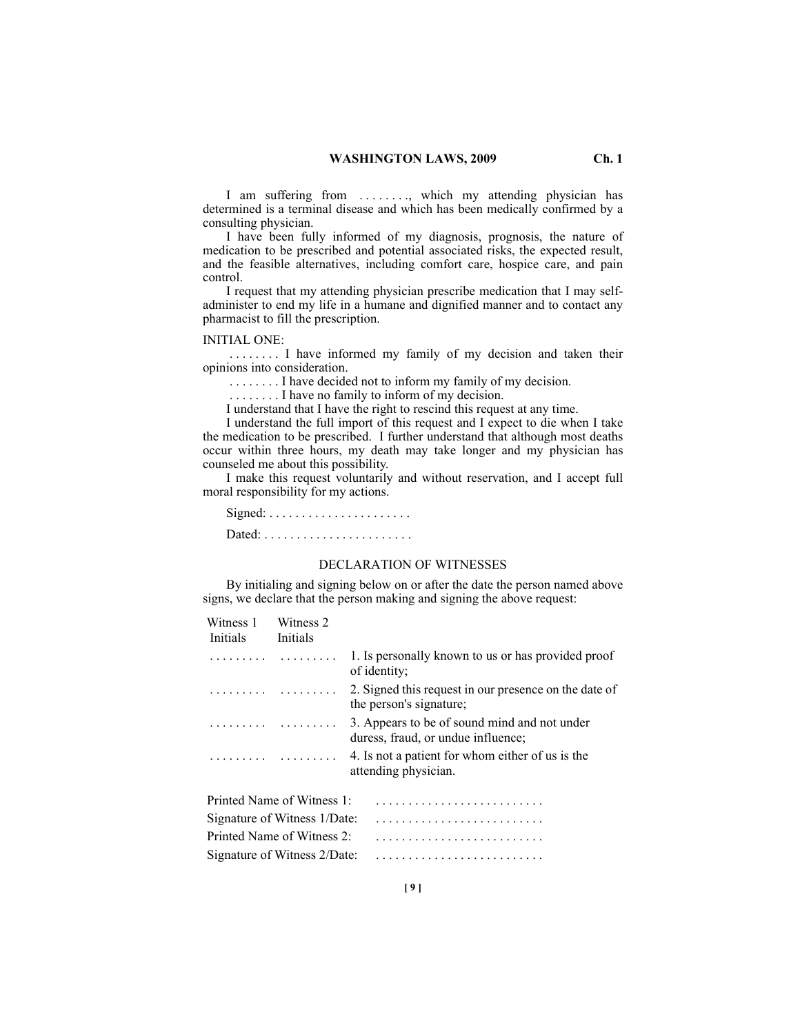I am suffering from ......., which my attending physician has determined is a terminal disease and which has been medically confirmed by a consulting physician.

I have been fully informed of my diagnosis, prognosis, the nature of medication to be prescribed and potential associated risks, the expected result, and the feasible alternatives, including comfort care, hospice care, and pain control.

I request that my attending physician prescribe medication that I may selfadminister to end my life in a humane and dignified manner and to contact any pharmacist to fill the prescription.

#### INITIAL ONE:

........ I have informed my family of my decision and taken their opinions into consideration.

. . . . . . . . I have decided not to inform my family of my decision.

. . . . . . . . I have no family to inform of my decision.

I understand that I have the right to rescind this request at any time.

I understand the full import of this request and I expect to die when I take the medication to be prescribed. I further understand that although most deaths occur within three hours, my death may take longer and my physician has counseled me about this possibility.

I make this request voluntarily and without reservation, and I accept full moral responsibility for my actions.

Signed:  $\dots \dots \dots \dots \dots \dots \dots \dots$ Dated: . . . . . . . . . . . . . . . . . . . . . . .

# DECLARATION OF WITNESSES

By initialing and signing below on or after the date the person named above signs, we declare that the person making and signing the above request:

| Witness 1<br>Initials | Witness 2<br><i>Initials</i> |                                                                                    |
|-----------------------|------------------------------|------------------------------------------------------------------------------------|
|                       | .                            | 1. Is personally known to us or has provided proof<br>of identity;                 |
|                       | .                            | 2. Signed this request in our presence on the date of<br>the person's signature;   |
|                       | .                            | 3. Appears to be of sound mind and not under<br>duress, fraud, or undue influence; |
|                       | .                            | 4. Is not a patient for whom either of us is the<br>attending physician.           |
|                       | Printed Name of Witness 1:   |                                                                                    |
|                       | Signature of Witness 1/Date: |                                                                                    |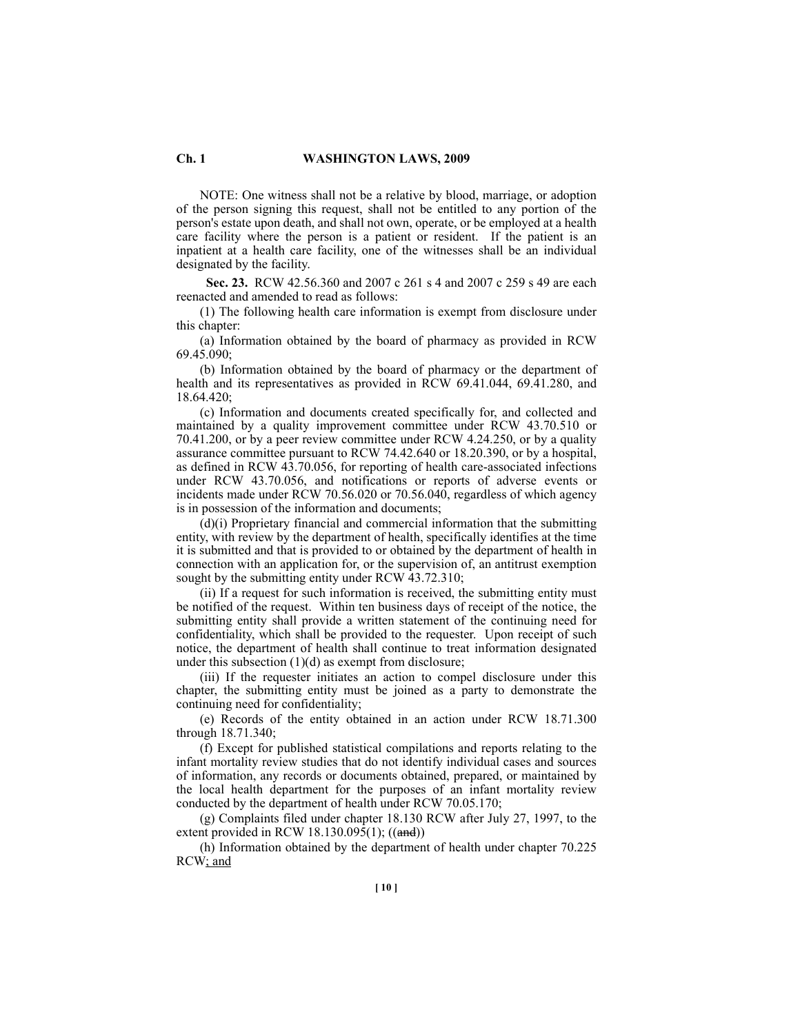NOTE: One witness shall not be a relative by blood, marriage, or adoption of the person signing this request, shall not be entitled to any portion of the person's estate upon death, and shall not own, operate, or be employed at a health care facility where the person is a patient or resident. If the patient is an inpatient at a health care facility, one of the witnesses shall be an individual designated by the facility.

 **Sec. 23.** RCW 42.56.360 and 2007 c 261 s 4 and 2007 c 259 s 49 are each reenacted and amended to read as follows:

(1) The following health care information is exempt from disclosure under this chapter:

(a) Information obtained by the board of pharmacy as provided in RCW 69.45.090;

(b) Information obtained by the board of pharmacy or the department of health and its representatives as provided in RCW 69.41.044, 69.41.280, and 18.64.420;

(c) Information and documents created specifically for, and collected and maintained by a quality improvement committee under RCW 43.70.510 or 70.41.200, or by a peer review committee under RCW 4.24.250, or by a quality assurance committee pursuant to RCW 74.42.640 or 18.20.390, or by a hospital, as defined in RCW 43.70.056, for reporting of health care-associated infections under RCW 43.70.056, and notifications or reports of adverse events or incidents made under RCW 70.56.020 or 70.56.040, regardless of which agency is in possession of the information and documents;

(d)(i) Proprietary financial and commercial information that the submitting entity, with review by the department of health, specifically identifies at the time it is submitted and that is provided to or obtained by the department of health in connection with an application for, or the supervision of, an antitrust exemption sought by the submitting entity under RCW 43.72.310;

(ii) If a request for such information is received, the submitting entity must be notified of the request. Within ten business days of receipt of the notice, the submitting entity shall provide a written statement of the continuing need for confidentiality, which shall be provided to the requester. Upon receipt of such notice, the department of health shall continue to treat information designated under this subsection  $(1)(d)$  as exempt from disclosure;

(iii) If the requester initiates an action to compel disclosure under this chapter, the submitting entity must be joined as a party to demonstrate the continuing need for confidentiality;

(e) Records of the entity obtained in an action under RCW 18.71.300 through 18.71.340;

(f) Except for published statistical compilations and reports relating to the infant mortality review studies that do not identify individual cases and sources of information, any records or documents obtained, prepared, or maintained by the local health department for the purposes of an infant mortality review conducted by the department of health under RCW 70.05.170;

(g) Complaints filed under chapter 18.130 RCW after July 27, 1997, to the extent provided in RCW  $18.130.095(1)$ ; ((and))

(h) Information obtained by the department of health under chapter 70.225 RCW; and

**[ 10 ]**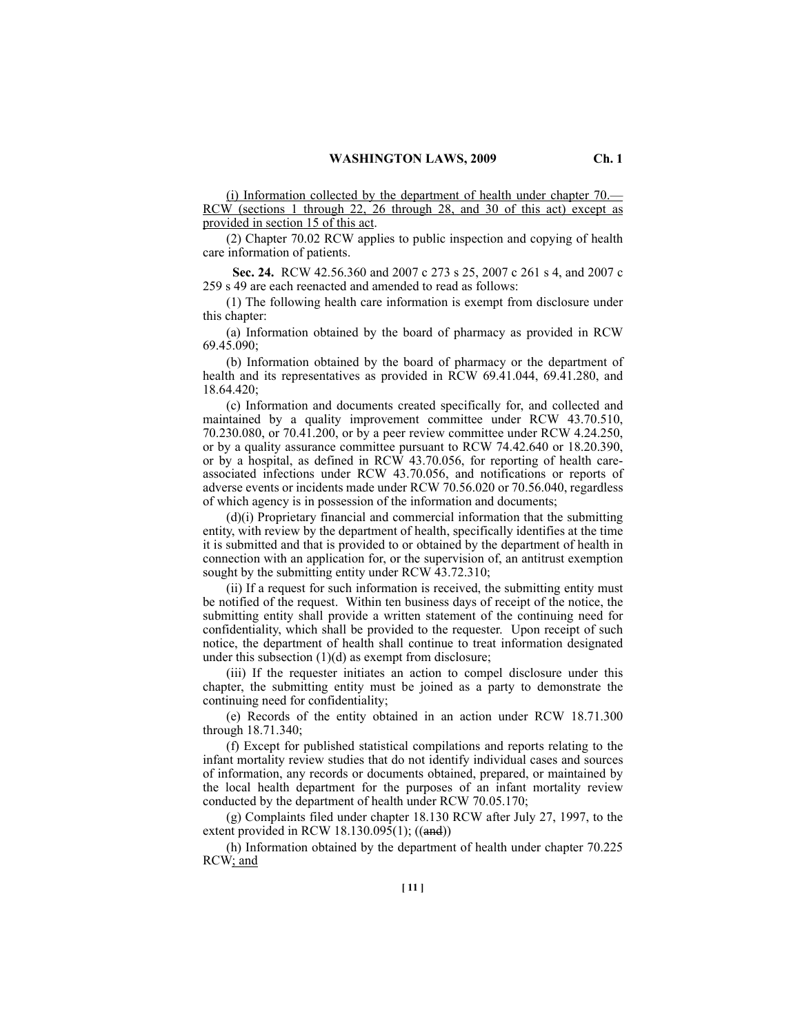(i) Information collected by the department of health under chapter  $70$ . RCW (sections 1 through 22, 26 through 28, and 30 of this act) except as provided in section 15 of this act.

(2) Chapter 70.02 RCW applies to public inspection and copying of health care information of patients.

 **Sec. 24.** RCW 42.56.360 and 2007 c 273 s 25, 2007 c 261 s 4, and 2007 c 259 s 49 are each reenacted and amended to read as follows:

(1) The following health care information is exempt from disclosure under this chapter:

(a) Information obtained by the board of pharmacy as provided in RCW 69.45.090;

(b) Information obtained by the board of pharmacy or the department of health and its representatives as provided in RCW 69.41.044, 69.41.280, and 18.64.420;

(c) Information and documents created specifically for, and collected and maintained by a quality improvement committee under RCW 43.70.510, 70.230.080, or 70.41.200, or by a peer review committee under RCW 4.24.250, or by a quality assurance committee pursuant to RCW 74.42.640 or 18.20.390, or by a hospital, as defined in RCW 43.70.056, for reporting of health careassociated infections under RCW 43.70.056, and notifications or reports of adverse events or incidents made under RCW 70.56.020 or 70.56.040, regardless of which agency is in possession of the information and documents;

(d)(i) Proprietary financial and commercial information that the submitting entity, with review by the department of health, specifically identifies at the time it is submitted and that is provided to or obtained by the department of health in connection with an application for, or the supervision of, an antitrust exemption sought by the submitting entity under RCW 43.72.310;

(ii) If a request for such information is received, the submitting entity must be notified of the request. Within ten business days of receipt of the notice, the submitting entity shall provide a written statement of the continuing need for confidentiality, which shall be provided to the requester. Upon receipt of such notice, the department of health shall continue to treat information designated under this subsection (1)(d) as exempt from disclosure;

(iii) If the requester initiates an action to compel disclosure under this chapter, the submitting entity must be joined as a party to demonstrate the continuing need for confidentiality;

(e) Records of the entity obtained in an action under RCW 18.71.300 through 18.71.340;

(f) Except for published statistical compilations and reports relating to the infant mortality review studies that do not identify individual cases and sources of information, any records or documents obtained, prepared, or maintained by the local health department for the purposes of an infant mortality review conducted by the department of health under RCW 70.05.170;

(g) Complaints filed under chapter 18.130 RCW after July 27, 1997, to the extent provided in RCW  $18.130.095(1)$ ; ((and))

(h) Information obtained by the department of health under chapter 70.225 RCW; and